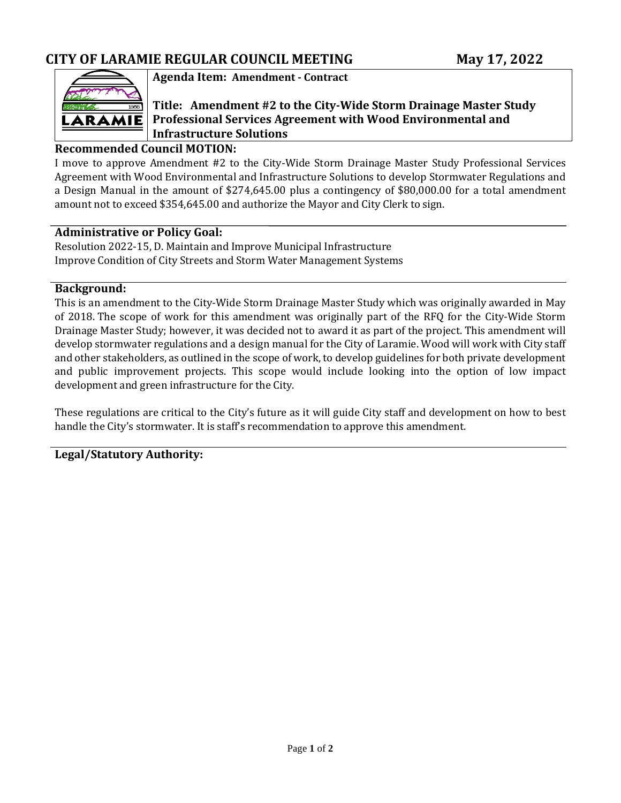

### **Agenda Item: Amendment - Contract**

## **Title: Amendment #2 to the City-Wide Storm Drainage Master Study Professional Services Agreement with Wood Environmental and Infrastructure Solutions**

### **Recommended Council MOTION:**

I move to approve Amendment #2 to the City-Wide Storm Drainage Master Study Professional Services Agreement with Wood Environmental and Infrastructure Solutions to develop Stormwater Regulations and a Design Manual in the amount of \$274,645.00 plus a contingency of \$80,000.00 for a total amendment amount not to exceed \$354,645.00 and authorize the Mayor and City Clerk to sign.

#### **Administrative or Policy Goal:**

Resolution 2022-15, D. Maintain and Improve Municipal Infrastructure Improve Condition of City Streets and Storm Water Management Systems

#### **Background:**

This is an amendment to the City-Wide Storm Drainage Master Study which was originally awarded in May of 2018. The scope of work for this amendment was originally part of the RFQ for the City-Wide Storm Drainage Master Study; however, it was decided not to award it as part of the project. This amendment will develop stormwater regulations and a design manual for the City of Laramie. Wood will work with City staff and other stakeholders, as outlined in the scope of work, to develop guidelines for both private development and public improvement projects. This scope would include looking into the option of low impact development and green infrastructure for the City.

These regulations are critical to the City's future as it will guide City staff and development on how to best handle the City's stormwater. It is staff's recommendation to approve this amendment.

**Legal/Statutory Authority:**